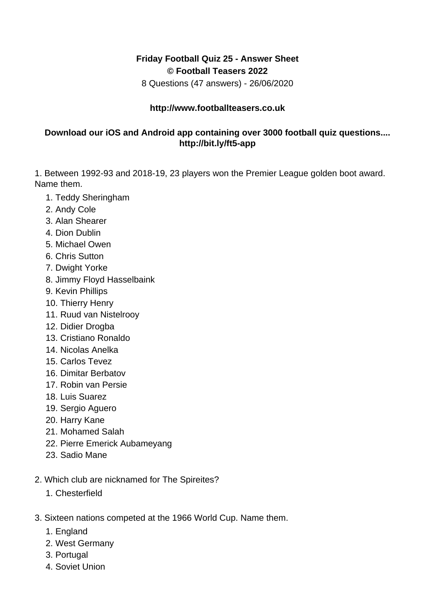## **Friday Football Quiz 25 - Answer Sheet © Football Teasers 2022**

8 Questions (47 answers) - 26/06/2020

## **http://www.footballteasers.co.uk**

## **Download our iOS and Android app containing over 3000 football quiz questions.... http://bit.ly/ft5-app**

1. Between 1992-93 and 2018-19, 23 players won the Premier League golden boot award. Name them.

- 1. Teddy Sheringham
- 2. Andy Cole
- 3. Alan Shearer
- 4. Dion Dublin
- 5. Michael Owen
- 6. Chris Sutton
- 7. Dwight Yorke
- 8. Jimmy Floyd Hasselbaink
- 9. Kevin Phillips
- 10. Thierry Henry
- 11. Ruud van Nistelrooy
- 12. Didier Drogba
- 13. Cristiano Ronaldo
- 14. Nicolas Anelka
- 15. Carlos Tevez
- 16. Dimitar Berbatov
- 17. Robin van Persie
- 18. Luis Suarez
- 19. Sergio Aguero
- 20. Harry Kane
- 21. Mohamed Salah
- 22. Pierre Emerick Aubameyang
- 23. Sadio Mane
- 2. Which club are nicknamed for The Spireites?
	- 1. Chesterfield
- 3. Sixteen nations competed at the 1966 World Cup. Name them.
	- 1. England
	- 2. West Germany
	- 3. Portugal
	- 4. Soviet Union